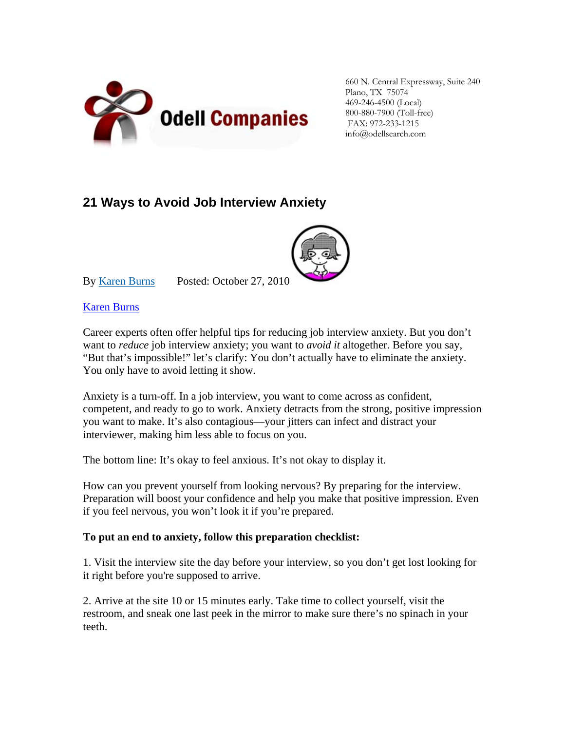

660 N. Central Expressway, Suite 240 Plano, TX 75074 469-246-4500 (Local) 800-880-7900 (Toll-free) FAX: 972-233-1215 info@odellsearch.com

## **21 Ways to Avoid Job Interview Anxiety**



By [Karen Burns](http://money.usnews.com/topics/author/burns_karen) Posted: October 27, 201[0](http://www.karenburnsworkinggirl.com/)

Karen Burns

Career experts often offer helpful tips for reducing job interview anxiety. But you don't want to *reduce* job interview anxiety; you want to *avoid it* altogether. Before you say, "But that's impossible!" let's clarify: You don't actually have to eliminate the anxiety. You only have to avoid letting it show.

Anxiety is a turn-off. In a job interview, you want to come across as confident, competent, and ready to go to work. Anxiety detracts from the strong, positive impression you want to make. It's also contagious—your jitters can infect and distract your interviewer, making him less able to focus on you.

The bottom line: It's okay to feel anxious. It's not okay to display it.

How can you prevent yourself from looking nervous? By preparing for the interview. Preparation will boost your confidence and help you make that positive impression. Even if you feel nervous, you won't look it if you're prepared.

## **To put an end to anxiety, follow this preparation checklist:**

1. Visit the interview site the day before your interview, so you don't get lost looking for it right before you're supposed to arrive.

2. Arrive at the site 10 or 15 minutes early. Take time to collect yourself, visit the restroom, and sneak one last peek in the mirror to make sure there's no spinach in your teeth.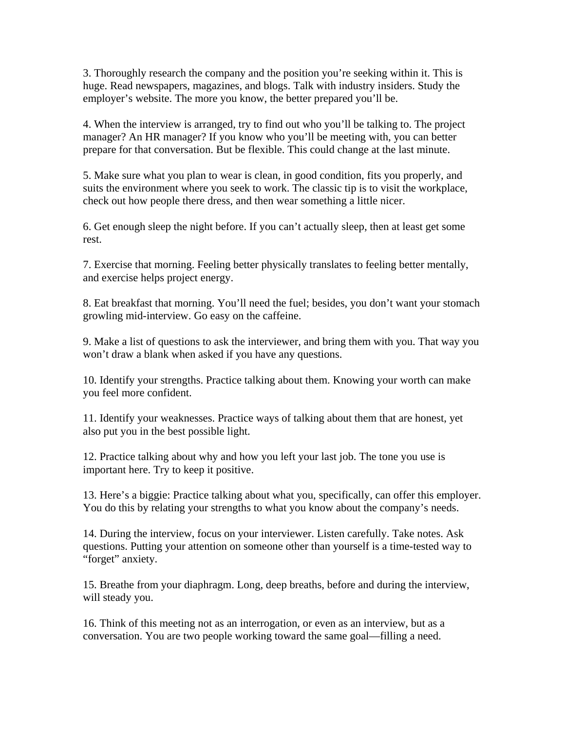3. Thoroughly research the company and the position you're seeking within it. This is huge. Read newspapers, magazines, and blogs. Talk with industry insiders. Study the employer's website. The more you know, the better prepared you'll be.

4. When the interview is arranged, try to find out who you'll be talking to. The project manager? An HR manager? If you know who you'll be meeting with, you can better prepare for that conversation. But be flexible. This could change at the last minute.

5. Make sure what you plan to wear is clean, in good condition, fits you properly, and suits the environment where you seek to work. The classic tip is to visit the workplace, check out how people there dress, and then wear something a little nicer.

6. Get enough sleep the night before. If you can't actually sleep, then at least get some rest.

7. Exercise that morning. Feeling better physically translates to feeling better mentally, and exercise helps project energy.

8. Eat breakfast that morning. You'll need the fuel; besides, you don't want your stomach growling mid-interview. Go easy on the caffeine.

9. Make a list of questions to ask the interviewer, and bring them with you. That way you won't draw a blank when asked if you have any questions.

10. Identify your strengths. Practice talking about them. Knowing your worth can make you feel more confident.

11. Identify your weaknesses. Practice ways of talking about them that are honest, yet also put you in the best possible light.

12. Practice talking about why and how you left your last job. The tone you use is important here. Try to keep it positive.

13. Here's a biggie: Practice talking about what you, specifically, can offer this employer. You do this by relating your strengths to what you know about the company's needs.

14. During the interview, focus on your interviewer. Listen carefully. Take notes. Ask questions. Putting your attention on someone other than yourself is a time-tested way to "forget" anxiety.

15. Breathe from your diaphragm. Long, deep breaths, before and during the interview, will steady you.

16. Think of this meeting not as an interrogation, or even as an interview, but as a conversation. You are two people working toward the same goal—filling a need.